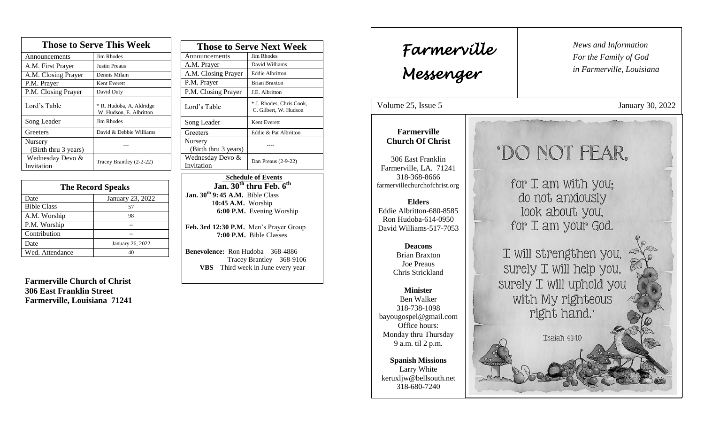| <b>Those to Serve This Week</b> |                                                     |  |
|---------------------------------|-----------------------------------------------------|--|
| Announcements                   | <b>Jim Rhodes</b>                                   |  |
| A.M. First Prayer               | <b>Justin Preaus</b>                                |  |
| A.M. Closing Prayer             | Dennis Milam                                        |  |
| P.M. Prayer                     | Kent Everett                                        |  |
| P.M. Closing Prayer             | David Duty                                          |  |
| Lord's Table                    | * R. Hudoba, A. Aldridge<br>W. Hudson, E. Albritton |  |
| Song Leader                     | Jim Rhodes                                          |  |
| Greeters                        | David & Debbie Williams                             |  |
| Nursery<br>(Birth thru 3 years) |                                                     |  |
| Wednesday Devo &<br>Invitation  | Tracey Brantley (2-2-22)                            |  |

| <b>The Record Speaks</b> |                  |  |
|--------------------------|------------------|--|
| Date                     | January 23, 2022 |  |
| <b>Bible Class</b>       | 57               |  |
| A.M. Worship             | 98               |  |
| P.M. Worship             |                  |  |
| Contribution             |                  |  |
| Date                     | January 26, 2022 |  |
| Wed. Attendance          | 40               |  |

**Farmerville Church of Christ 306 East Franklin Street Farmerville, Louisiana 71241**

| <b>Those to Serve Next Week</b> |                                                   |
|---------------------------------|---------------------------------------------------|
| Announcements                   | <b>Jim Rhodes</b>                                 |
| A.M. Prayer                     | David Williams                                    |
| A.M. Closing Prayer             | <b>Eddie Albritton</b>                            |
| P.M. Prayer                     | <b>Brian Braxton</b>                              |
| P.M. Closing Prayer             | J.E. Albritton                                    |
| Lord's Table                    | * J. Rhodes, Chris Cook,<br>C. Gilbert, W. Hudson |
| Song Leader                     | Kent Everett                                      |
| Greeters                        | Eddie & Pat Albritton                             |
| Nursery<br>(Birth thru 3 years) |                                                   |
| Wednesday Devo &<br>Invitation  | Dan Preaus $(2-9-22)$                             |

 **Schedule of Events Jan. 30th thru Feb. 6 th Jan. 30th 9: 45 A.M.** Bible Class 1**0:45 A.M.** Worship  **6:00 P.M.** Evening Worship

**Feb. 3rd 12:30 P.M.** Men's Prayer Group **7:00 P.M.** Bible Classes

**Benevolence:** Ron Hudoba – 368-4886 Tracey Brantley – 368-9106 **VBS** – Third week in June every year

*News and Information* **Farmerville**  $\begin{bmatrix} \text{News an} \\ \text{For the} \end{bmatrix}$ *For the Family of God in Farmerville, Louisiana Messenger*  Volume 25, Issue 5 January 30, 2022 , 2015 **Farmerville Church Of Christ** 'DO NOT FEAR. 306 East Franklin Farmerville, LA. 71241 318-368-8666 for I am with you; farmervillechurchofchrist.org do not anxiously **Elders** look about you, Eddie Albritton-680-8585 Ron Hudoba-614-0950 for I am your God. David Williams-517-7053 **Deacons**  I will strengthen you, Brian Braxton Joe Preaus surely I will help you, Chris Strickland surely I will uphold you **Minister** with My righteous Ben Walker 318-738-1098 right hand.' bayougospel@gmail.com Office hours: Monday thru Thursday Tsajah 41:10 9 a.m. til 2 p.m. **Spanish Missions** Larry White keruxljw@bellsouth.net 318-680-7240